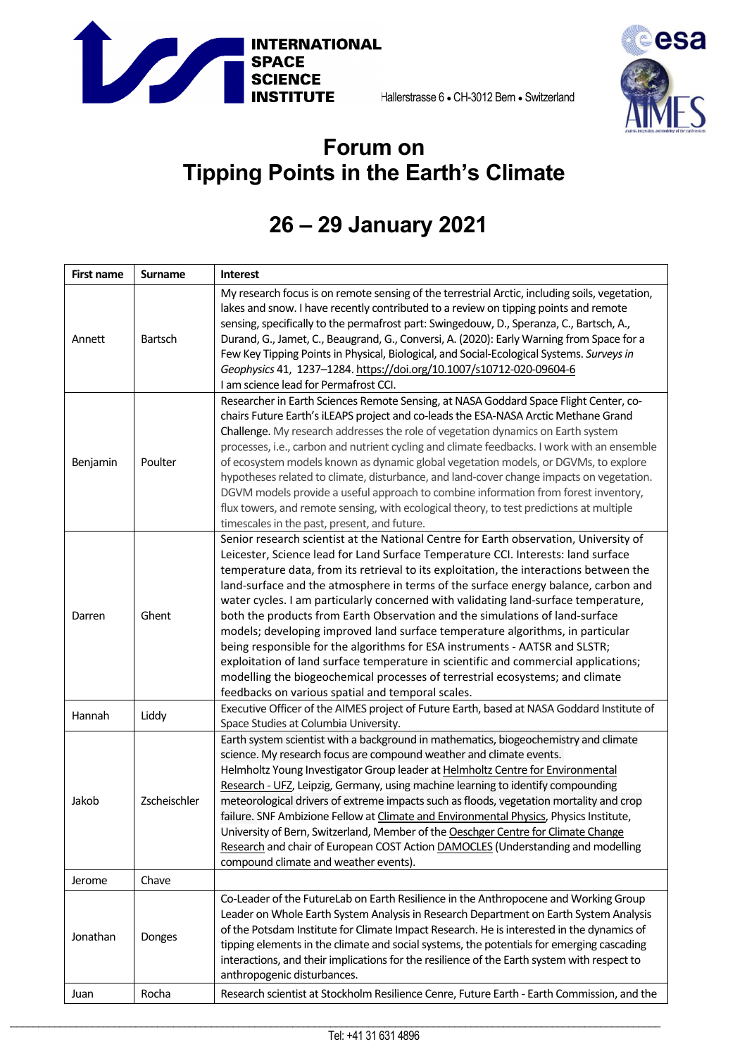



## **Forum on Tipping Points in the Earth's Climate**

## **26 – 29 January 2021**

| <b>First name</b> | <b>Surname</b> | <b>Interest</b>                                                                                                                                                                                                                                                                                                                                                                                                                                                                                                                                                                                                                                                                                                                                                                                                                                                                                                                 |
|-------------------|----------------|---------------------------------------------------------------------------------------------------------------------------------------------------------------------------------------------------------------------------------------------------------------------------------------------------------------------------------------------------------------------------------------------------------------------------------------------------------------------------------------------------------------------------------------------------------------------------------------------------------------------------------------------------------------------------------------------------------------------------------------------------------------------------------------------------------------------------------------------------------------------------------------------------------------------------------|
| Annett            | Bartsch        | My research focus is on remote sensing of the terrestrial Arctic, including soils, vegetation,<br>lakes and snow. I have recently contributed to a review on tipping points and remote<br>sensing, specifically to the permafrost part: Swingedouw, D., Speranza, C., Bartsch, A.,<br>Durand, G., Jamet, C., Beaugrand, G., Conversi, A. (2020): Early Warning from Space for a<br>Few Key Tipping Points in Physical, Biological, and Social-Ecological Systems. Surveys in<br>Geophysics 41, 1237-1284. https://doi.org/10.1007/s10712-020-09604-6<br>I am science lead for Permafrost CCI.                                                                                                                                                                                                                                                                                                                                   |
| Benjamin          | Poulter        | Researcher in Earth Sciences Remote Sensing, at NASA Goddard Space Flight Center, co-<br>chairs Future Earth's iLEAPS project and co-leads the ESA-NASA Arctic Methane Grand<br>Challenge. My research addresses the role of vegetation dynamics on Earth system<br>processes, i.e., carbon and nutrient cycling and climate feedbacks. I work with an ensemble<br>of ecosystem models known as dynamic global vegetation models, or DGVMs, to explore<br>hypotheses related to climate, disturbance, and land-cover change impacts on vegetation.<br>DGVM models provide a useful approach to combine information from forest inventory,<br>flux towers, and remote sensing, with ecological theory, to test predictions at multiple<br>timescales in the past, present, and future.                                                                                                                                           |
| Darren            | Ghent          | Senior research scientist at the National Centre for Earth observation, University of<br>Leicester, Science lead for Land Surface Temperature CCI. Interests: land surface<br>temperature data, from its retrieval to its exploitation, the interactions between the<br>land-surface and the atmosphere in terms of the surface energy balance, carbon and<br>water cycles. I am particularly concerned with validating land-surface temperature,<br>both the products from Earth Observation and the simulations of land-surface<br>models; developing improved land surface temperature algorithms, in particular<br>being responsible for the algorithms for ESA instruments - AATSR and SLSTR;<br>exploitation of land surface temperature in scientific and commercial applications;<br>modelling the biogeochemical processes of terrestrial ecosystems; and climate<br>feedbacks on various spatial and temporal scales. |
| Hannah            | Liddy          | Executive Officer of the AIMES project of Future Earth, based at NASA Goddard Institute of<br>Space Studies at Columbia University.                                                                                                                                                                                                                                                                                                                                                                                                                                                                                                                                                                                                                                                                                                                                                                                             |
| Jakob             | Zscheischler   | Earth system scientist with a background in mathematics, biogeochemistry and climate<br>science. My research focus are compound weather and climate events.<br>Helmholtz Young Investigator Group leader at Helmholtz Centre for Environmental<br>Research - UFZ, Leipzig, Germany, using machine learning to identify compounding<br>meteorological drivers of extreme impacts such as floods, vegetation mortality and crop<br>failure. SNF Ambizione Fellow at Climate and Environmental Physics, Physics Institute,<br>University of Bern, Switzerland, Member of the Oeschger Centre for Climate Change<br>Research and chair of European COST Action DAMOCLES (Understanding and modelling<br>compound climate and weather events).                                                                                                                                                                                       |
| Jerome            | Chave          |                                                                                                                                                                                                                                                                                                                                                                                                                                                                                                                                                                                                                                                                                                                                                                                                                                                                                                                                 |
| Jonathan          | Donges         | Co-Leader of the FutureLab on Earth Resilience in the Anthropocene and Working Group<br>Leader on Whole Earth System Analysis in Research Department on Earth System Analysis<br>of the Potsdam Institute for Climate Impact Research. He is interested in the dynamics of<br>tipping elements in the climate and social systems, the potentials for emerging cascading<br>interactions, and their implications for the resilience of the Earth system with respect to<br>anthropogenic disturbances.                                                                                                                                                                                                                                                                                                                                                                                                                           |
| Juan              | Rocha          | Research scientist at Stockholm Resilience Cenre, Future Earth - Earth Commission, and the                                                                                                                                                                                                                                                                                                                                                                                                                                                                                                                                                                                                                                                                                                                                                                                                                                      |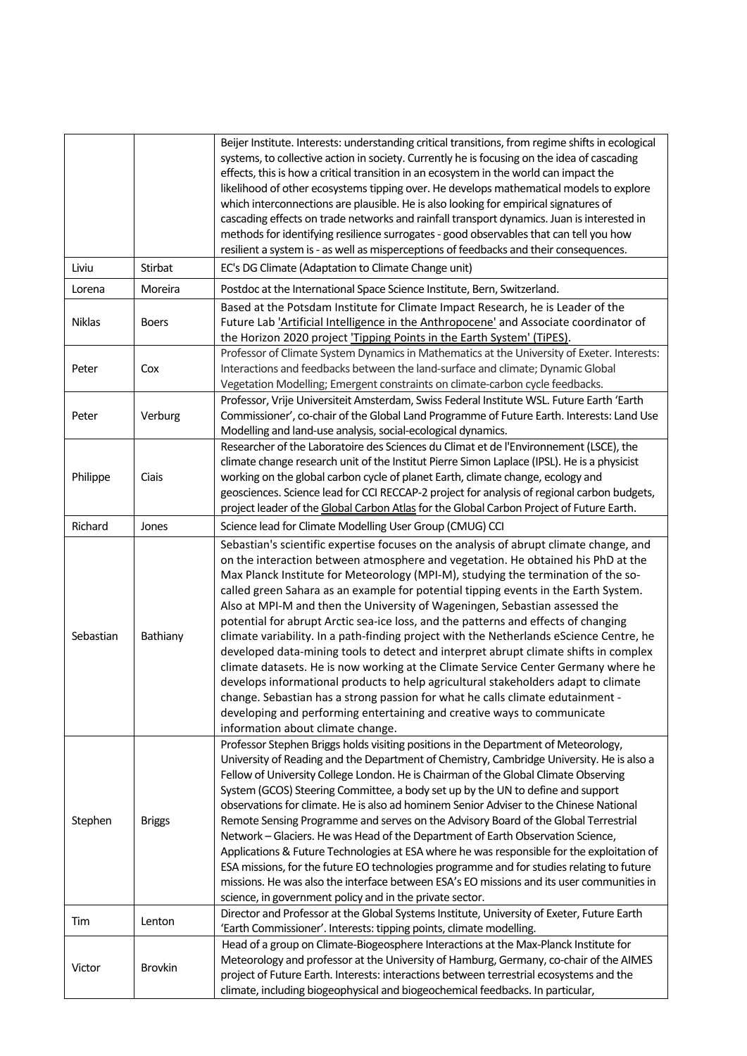|           |                | Beijer Institute. Interests: understanding critical transitions, from regime shifts in ecological<br>systems, to collective action in society. Currently he is focusing on the idea of cascading<br>effects, this is how a critical transition in an ecosystem in the world can impact the<br>likelihood of other ecosystems tipping over. He develops mathematical models to explore<br>which interconnections are plausible. He is also looking for empirical signatures of<br>cascading effects on trade networks and rainfall transport dynamics. Juan is interested in<br>methods for identifying resilience surrogates - good observables that can tell you how<br>resilient a system is - as well as misperceptions of feedbacks and their consequences.                                                                                                                                                                                                                                                                                                                              |
|-----------|----------------|----------------------------------------------------------------------------------------------------------------------------------------------------------------------------------------------------------------------------------------------------------------------------------------------------------------------------------------------------------------------------------------------------------------------------------------------------------------------------------------------------------------------------------------------------------------------------------------------------------------------------------------------------------------------------------------------------------------------------------------------------------------------------------------------------------------------------------------------------------------------------------------------------------------------------------------------------------------------------------------------------------------------------------------------------------------------------------------------|
| Liviu     | Stirbat        | EC's DG Climate (Adaptation to Climate Change unit)                                                                                                                                                                                                                                                                                                                                                                                                                                                                                                                                                                                                                                                                                                                                                                                                                                                                                                                                                                                                                                          |
| Lorena    | Moreira        | Postdoc at the International Space Science Institute, Bern, Switzerland.                                                                                                                                                                                                                                                                                                                                                                                                                                                                                                                                                                                                                                                                                                                                                                                                                                                                                                                                                                                                                     |
| Niklas    | <b>Boers</b>   | Based at the Potsdam Institute for Climate Impact Research, he is Leader of the<br>Future Lab 'Artificial Intelligence in the Anthropocene' and Associate coordinator of<br>the Horizon 2020 project 'Tipping Points in the Earth System' (TiPES).                                                                                                                                                                                                                                                                                                                                                                                                                                                                                                                                                                                                                                                                                                                                                                                                                                           |
| Peter     | Cox            | Professor of Climate System Dynamics in Mathematics at the University of Exeter. Interests:<br>Interactions and feedbacks between the land-surface and climate; Dynamic Global<br>Vegetation Modelling; Emergent constraints on climate-carbon cycle feedbacks.                                                                                                                                                                                                                                                                                                                                                                                                                                                                                                                                                                                                                                                                                                                                                                                                                              |
| Peter     | Verburg        | Professor, Vrije Universiteit Amsterdam, Swiss Federal Institute WSL. Future Earth 'Earth<br>Commissioner', co-chair of the Global Land Programme of Future Earth. Interests: Land Use<br>Modelling and land-use analysis, social-ecological dynamics.                                                                                                                                                                                                                                                                                                                                                                                                                                                                                                                                                                                                                                                                                                                                                                                                                                       |
| Philippe  | Ciais          | Researcher of the Laboratoire des Sciences du Climat et de l'Environnement (LSCE), the<br>climate change research unit of the Institut Pierre Simon Laplace (IPSL). He is a physicist<br>working on the global carbon cycle of planet Earth, climate change, ecology and<br>geosciences. Science lead for CCI RECCAP-2 project for analysis of regional carbon budgets,<br>project leader of the Global Carbon Atlas for the Global Carbon Project of Future Earth.                                                                                                                                                                                                                                                                                                                                                                                                                                                                                                                                                                                                                          |
| Richard   | Jones          | Science lead for Climate Modelling User Group (CMUG) CCI                                                                                                                                                                                                                                                                                                                                                                                                                                                                                                                                                                                                                                                                                                                                                                                                                                                                                                                                                                                                                                     |
| Sebastian | Bathiany       | Sebastian's scientific expertise focuses on the analysis of abrupt climate change, and<br>on the interaction between atmosphere and vegetation. He obtained his PhD at the<br>Max Planck Institute for Meteorology (MPI-M), studying the termination of the so-<br>called green Sahara as an example for potential tipping events in the Earth System.<br>Also at MPI-M and then the University of Wageningen, Sebastian assessed the<br>potential for abrupt Arctic sea-ice loss, and the patterns and effects of changing<br>climate variability. In a path-finding project with the Netherlands eScience Centre, he<br>developed data-mining tools to detect and interpret abrupt climate shifts in complex<br>climate datasets. He is now working at the Climate Service Center Germany where he<br>develops informational products to help agricultural stakeholders adapt to climate<br>change. Sebastian has a strong passion for what he calls climate edutainment -<br>developing and performing entertaining and creative ways to communicate<br>information about climate change. |
| Stephen   | <b>Briggs</b>  | Professor Stephen Briggs holds visiting positions in the Department of Meteorology,<br>University of Reading and the Department of Chemistry, Cambridge University. He is also a<br>Fellow of University College London. He is Chairman of the Global Climate Observing<br>System (GCOS) Steering Committee, a body set up by the UN to define and support<br>observations for climate. He is also ad hominem Senior Adviser to the Chinese National<br>Remote Sensing Programme and serves on the Advisory Board of the Global Terrestrial<br>Network - Glaciers. He was Head of the Department of Earth Observation Science,<br>Applications & Future Technologies at ESA where he was responsible for the exploitation of<br>ESA missions, for the future EO technologies programme and for studies relating to future<br>missions. He was also the interface between ESA's EO missions and its user communities in<br>science, in government policy and in the private sector.                                                                                                           |
| Tim       | Lenton         | Director and Professor at the Global Systems Institute, University of Exeter, Future Earth                                                                                                                                                                                                                                                                                                                                                                                                                                                                                                                                                                                                                                                                                                                                                                                                                                                                                                                                                                                                   |
| Victor    | <b>Brovkin</b> | 'Earth Commissioner'. Interests: tipping points, climate modelling.<br>Head of a group on Climate-Biogeosphere Interactions at the Max-Planck Institute for<br>Meteorology and professor at the University of Hamburg, Germany, co-chair of the AIMES<br>project of Future Earth. Interests: interactions between terrestrial ecosystems and the<br>climate, including biogeophysical and biogeochemical feedbacks. In particular,                                                                                                                                                                                                                                                                                                                                                                                                                                                                                                                                                                                                                                                           |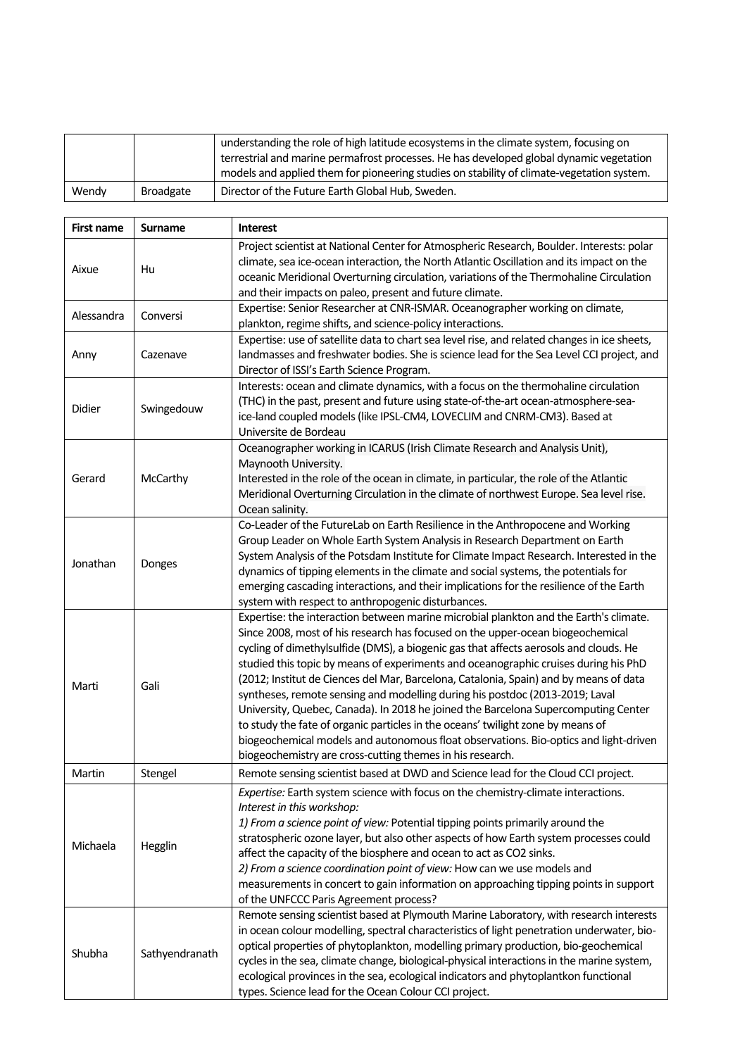|       |                  | understanding the role of high latitude ecosystems in the climate system, focusing on<br>terrestrial and marine permafrost processes. He has developed global dynamic vegetation<br>models and applied them for pioneering studies on stability of climate-vegetation system. |
|-------|------------------|-------------------------------------------------------------------------------------------------------------------------------------------------------------------------------------------------------------------------------------------------------------------------------|
| Wendy | <b>Broadgate</b> | Director of the Future Earth Global Hub, Sweden.                                                                                                                                                                                                                              |

| <b>First name</b> | <b>Surname</b> | <b>Interest</b>                                                                                                                                                                                                                                                                                                                                                                                                                                                                                                                                                                                                                                                                                                                                                                                                                                                |
|-------------------|----------------|----------------------------------------------------------------------------------------------------------------------------------------------------------------------------------------------------------------------------------------------------------------------------------------------------------------------------------------------------------------------------------------------------------------------------------------------------------------------------------------------------------------------------------------------------------------------------------------------------------------------------------------------------------------------------------------------------------------------------------------------------------------------------------------------------------------------------------------------------------------|
| Aixue             | Hu             | Project scientist at National Center for Atmospheric Research, Boulder. Interests: polar<br>climate, sea ice-ocean interaction, the North Atlantic Oscillation and its impact on the<br>oceanic Meridional Overturning circulation, variations of the Thermohaline Circulation<br>and their impacts on paleo, present and future climate.                                                                                                                                                                                                                                                                                                                                                                                                                                                                                                                      |
| Alessandra        | Conversi       | Expertise: Senior Researcher at CNR-ISMAR. Oceanographer working on climate,<br>plankton, regime shifts, and science-policy interactions.                                                                                                                                                                                                                                                                                                                                                                                                                                                                                                                                                                                                                                                                                                                      |
| Anny              | Cazenave       | Expertise: use of satellite data to chart sea level rise, and related changes in ice sheets,<br>landmasses and freshwater bodies. She is science lead for the Sea Level CCI project, and<br>Director of ISSI's Earth Science Program.                                                                                                                                                                                                                                                                                                                                                                                                                                                                                                                                                                                                                          |
| Didier            | Swingedouw     | Interests: ocean and climate dynamics, with a focus on the thermohaline circulation<br>(THC) in the past, present and future using state-of-the-art ocean-atmosphere-sea-<br>ice-land coupled models (like IPSL-CM4, LOVECLIM and CNRM-CM3). Based at<br>Universite de Bordeau                                                                                                                                                                                                                                                                                                                                                                                                                                                                                                                                                                                 |
| Gerard            | McCarthy       | Oceanographer working in ICARUS (Irish Climate Research and Analysis Unit),<br>Maynooth University.<br>Interested in the role of the ocean in climate, in particular, the role of the Atlantic<br>Meridional Overturning Circulation in the climate of northwest Europe. Sea level rise.<br>Ocean salinity.                                                                                                                                                                                                                                                                                                                                                                                                                                                                                                                                                    |
| Jonathan          | Donges         | Co-Leader of the FutureLab on Earth Resilience in the Anthropocene and Working<br>Group Leader on Whole Earth System Analysis in Research Department on Earth<br>System Analysis of the Potsdam Institute for Climate Impact Research. Interested in the<br>dynamics of tipping elements in the climate and social systems, the potentials for<br>emerging cascading interactions, and their implications for the resilience of the Earth<br>system with respect to anthropogenic disturbances.                                                                                                                                                                                                                                                                                                                                                                |
| Marti             | Gali           | Expertise: the interaction between marine microbial plankton and the Earth's climate.<br>Since 2008, most of his research has focused on the upper-ocean biogeochemical<br>cycling of dimethylsulfide (DMS), a biogenic gas that affects aerosols and clouds. He<br>studied this topic by means of experiments and oceanographic cruises during his PhD<br>(2012; Institut de Ciences del Mar, Barcelona, Catalonia, Spain) and by means of data<br>syntheses, remote sensing and modelling during his postdoc (2013-2019; Laval<br>University, Quebec, Canada). In 2018 he joined the Barcelona Supercomputing Center<br>to study the fate of organic particles in the oceans' twilight zone by means of<br>biogeochemical models and autonomous float observations. Bio-optics and light-driven<br>biogeochemistry are cross-cutting themes in his research. |
| Martin            | Stengel        | Remote sensing scientist based at DWD and Science lead for the Cloud CCI project.                                                                                                                                                                                                                                                                                                                                                                                                                                                                                                                                                                                                                                                                                                                                                                              |
| Michaela          | Hegglin        | Expertise: Earth system science with focus on the chemistry-climate interactions.<br>Interest in this workshop:<br>1) From a science point of view: Potential tipping points primarily around the<br>stratospheric ozone layer, but also other aspects of how Earth system processes could<br>affect the capacity of the biosphere and ocean to act as CO2 sinks.<br>2) From a science coordination point of view: How can we use models and<br>measurements in concert to gain information on approaching tipping points in support<br>of the UNFCCC Paris Agreement process?                                                                                                                                                                                                                                                                                 |
| Shubha            | Sathyendranath | Remote sensing scientist based at Plymouth Marine Laboratory, with research interests<br>in ocean colour modelling, spectral characteristics of light penetration underwater, bio-<br>optical properties of phytoplankton, modelling primary production, bio-geochemical<br>cycles in the sea, climate change, biological-physical interactions in the marine system,<br>ecological provinces in the sea, ecological indicators and phytoplantkon functional<br>types. Science lead for the Ocean Colour CCI project.                                                                                                                                                                                                                                                                                                                                          |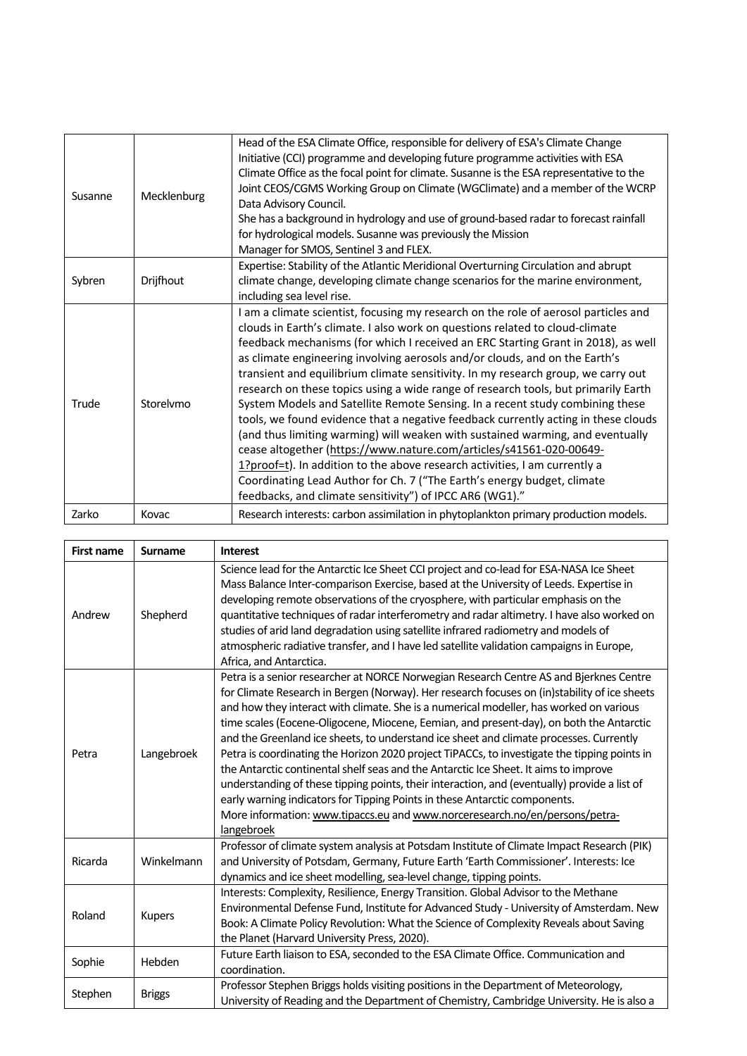| Susanne | Mecklenburg | Head of the ESA Climate Office, responsible for delivery of ESA's Climate Change<br>Initiative (CCI) programme and developing future programme activities with ESA<br>Climate Office as the focal point for climate. Susanne is the ESA representative to the<br>Joint CEOS/CGMS Working Group on Climate (WGClimate) and a member of the WCRP<br>Data Advisory Council.<br>She has a background in hydrology and use of ground-based radar to forecast rainfall<br>for hydrological models. Susanne was previously the Mission<br>Manager for SMOS, Sentinel 3 and FLEX.                                                                                                                                                                                                                                                                                                                                                                                                                                                                                               |
|---------|-------------|-------------------------------------------------------------------------------------------------------------------------------------------------------------------------------------------------------------------------------------------------------------------------------------------------------------------------------------------------------------------------------------------------------------------------------------------------------------------------------------------------------------------------------------------------------------------------------------------------------------------------------------------------------------------------------------------------------------------------------------------------------------------------------------------------------------------------------------------------------------------------------------------------------------------------------------------------------------------------------------------------------------------------------------------------------------------------|
| Sybren  | Drijfhout   | Expertise: Stability of the Atlantic Meridional Overturning Circulation and abrupt<br>climate change, developing climate change scenarios for the marine environment,<br>including sea level rise.                                                                                                                                                                                                                                                                                                                                                                                                                                                                                                                                                                                                                                                                                                                                                                                                                                                                      |
| Trude   | Storelymo   | I am a climate scientist, focusing my research on the role of aerosol particles and<br>clouds in Earth's climate. I also work on questions related to cloud-climate<br>feedback mechanisms (for which I received an ERC Starting Grant in 2018), as well<br>as climate engineering involving aerosols and/or clouds, and on the Earth's<br>transient and equilibrium climate sensitivity. In my research group, we carry out<br>research on these topics using a wide range of research tools, but primarily Earth<br>System Models and Satellite Remote Sensing. In a recent study combining these<br>tools, we found evidence that a negative feedback currently acting in these clouds<br>(and thus limiting warming) will weaken with sustained warming, and eventually<br>cease altogether (https://www.nature.com/articles/s41561-020-00649-<br>1?proof=t). In addition to the above research activities, I am currently a<br>Coordinating Lead Author for Ch. 7 ("The Earth's energy budget, climate<br>feedbacks, and climate sensitivity") of IPCC AR6 (WG1)." |
| Zarko   | Kovac       | Research interests: carbon assimilation in phytoplankton primary production models.                                                                                                                                                                                                                                                                                                                                                                                                                                                                                                                                                                                                                                                                                                                                                                                                                                                                                                                                                                                     |

| <b>First name</b> | <b>Surname</b> | <b>Interest</b>                                                                                                                                                                                                                                                                                                                                                                                                                                                                                                                                                                                                                                                                                                                                                                                                                                                                                                                          |
|-------------------|----------------|------------------------------------------------------------------------------------------------------------------------------------------------------------------------------------------------------------------------------------------------------------------------------------------------------------------------------------------------------------------------------------------------------------------------------------------------------------------------------------------------------------------------------------------------------------------------------------------------------------------------------------------------------------------------------------------------------------------------------------------------------------------------------------------------------------------------------------------------------------------------------------------------------------------------------------------|
| Andrew            | Shepherd       | Science lead for the Antarctic Ice Sheet CCI project and co-lead for ESA-NASA Ice Sheet<br>Mass Balance Inter-comparison Exercise, based at the University of Leeds. Expertise in<br>developing remote observations of the cryosphere, with particular emphasis on the<br>quantitative techniques of radar interferometry and radar altimetry. I have also worked on<br>studies of arid land degradation using satellite infrared radiometry and models of<br>atmospheric radiative transfer, and I have led satellite validation campaigns in Europe,<br>Africa, and Antarctica.                                                                                                                                                                                                                                                                                                                                                        |
| Petra             | Langebroek     | Petra is a senior researcher at NORCE Norwegian Research Centre AS and Bjerknes Centre<br>for Climate Research in Bergen (Norway). Her research focuses on (in)stability of ice sheets<br>and how they interact with climate. She is a numerical modeller, has worked on various<br>time scales (Eocene-Oligocene, Miocene, Eemian, and present-day), on both the Antarctic<br>and the Greenland ice sheets, to understand ice sheet and climate processes. Currently<br>Petra is coordinating the Horizon 2020 project TiPACCs, to investigate the tipping points in<br>the Antarctic continental shelf seas and the Antarctic Ice Sheet. It aims to improve<br>understanding of these tipping points, their interaction, and (eventually) provide a list of<br>early warning indicators for Tipping Points in these Antarctic components.<br>More information: www.tipaccs.eu and www.norceresearch.no/en/persons/petra-<br>langebroek |
| Ricarda           | Winkelmann     | Professor of climate system analysis at Potsdam Institute of Climate Impact Research (PIK)<br>and University of Potsdam, Germany, Future Earth 'Earth Commissioner'. Interests: Ice<br>dynamics and ice sheet modelling, sea-level change, tipping points.                                                                                                                                                                                                                                                                                                                                                                                                                                                                                                                                                                                                                                                                               |
| Roland            | <b>Kupers</b>  | Interests: Complexity, Resilience, Energy Transition. Global Advisor to the Methane<br>Environmental Defense Fund, Institute for Advanced Study - University of Amsterdam. New<br>Book: A Climate Policy Revolution: What the Science of Complexity Reveals about Saving<br>the Planet (Harvard University Press, 2020).                                                                                                                                                                                                                                                                                                                                                                                                                                                                                                                                                                                                                 |
| Sophie            | Hebden         | Future Earth liaison to ESA, seconded to the ESA Climate Office. Communication and<br>coordination.                                                                                                                                                                                                                                                                                                                                                                                                                                                                                                                                                                                                                                                                                                                                                                                                                                      |
| Stephen           | <b>Briggs</b>  | Professor Stephen Briggs holds visiting positions in the Department of Meteorology,<br>University of Reading and the Department of Chemistry, Cambridge University. He is also a                                                                                                                                                                                                                                                                                                                                                                                                                                                                                                                                                                                                                                                                                                                                                         |